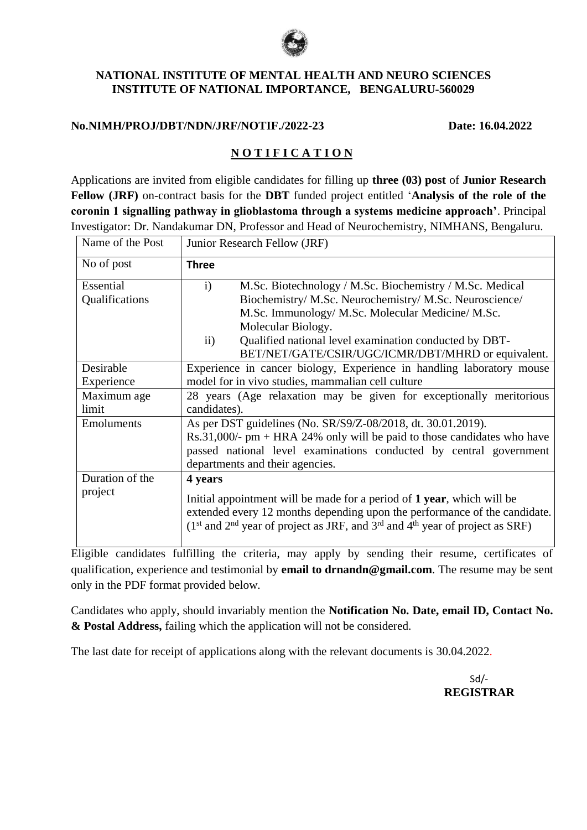

## **NATIONAL INSTITUTE OF MENTAL HEALTH AND NEURO SCIENCES INSTITUTE OF NATIONAL IMPORTANCE, BENGALURU-560029**

## **No.NIMH/PROJ/DBT/NDN/JRF/NOTIF./2022-23 Date: 16.04.2022**

## **N O T I F I C A T I O N**

Applications are invited from eligible candidates for filling up **three (03) post** of **Junior Research Fellow (JRF)** on-contract basis for the **DBT** funded project entitled '**Analysis of the role of the coronin 1 signalling pathway in glioblastoma through a systems medicine approach'**. Principal Investigator: Dr. Nandakumar DN, Professor and Head of Neurochemistry, NIMHANS, Bengaluru.

| Name of the Post            | Junior Research Fellow (JRF)                                                                                                                                                                                                                       |  |  |  |  |
|-----------------------------|----------------------------------------------------------------------------------------------------------------------------------------------------------------------------------------------------------------------------------------------------|--|--|--|--|
| No of post                  | <b>Three</b>                                                                                                                                                                                                                                       |  |  |  |  |
| Essential<br>Qualifications | M.Sc. Biotechnology / M.Sc. Biochemistry / M.Sc. Medical<br>$\mathbf{i}$<br>Biochemistry/ M.Sc. Neurochemistry/ M.Sc. Neuroscience/<br>M.Sc. Immunology/ M.Sc. Molecular Medicine/ M.Sc.                                                           |  |  |  |  |
|                             | Molecular Biology.<br>$\mathbf{ii}$<br>Qualified national level examination conducted by DBT-<br>BET/NET/GATE/CSIR/UGC/ICMR/DBT/MHRD or equivalent.                                                                                                |  |  |  |  |
| Desirable                   | Experience in cancer biology, Experience in handling laboratory mouse                                                                                                                                                                              |  |  |  |  |
| Experience                  | model for in vivo studies, mammalian cell culture                                                                                                                                                                                                  |  |  |  |  |
| Maximum age<br>limit        | 28 years (Age relaxation may be given for exceptionally meritorious<br>candidates).                                                                                                                                                                |  |  |  |  |
| <b>Emoluments</b>           | As per DST guidelines (No. SR/S9/Z-08/2018, dt. 30.01.2019).<br>$Rs.31,000/- pm + HRA 24% only will be paid to those candidates who have$<br>passed national level examinations conducted by central government<br>departments and their agencies. |  |  |  |  |
| Duration of the             | 4 years                                                                                                                                                                                                                                            |  |  |  |  |
| project                     | Initial appointment will be made for a period of 1 year, which will be<br>extended every 12 months depending upon the performance of the candidate.<br>$(1st$ and $2nd$ year of project as JRF, and $3rd$ and $4th$ year of project as SRF)        |  |  |  |  |

Eligible candidates fulfilling the criteria, may apply by sending their resume, certificates of qualification, experience and testimonial by **email to drnandn@gmail.com**. The resume may be sent only in the PDF format provided below.

Candidates who apply, should invariably mention the **Notification No. Date, email ID, Contact No. & Postal Address,** failing which the application will not be considered.

The last date for receipt of applications along with the relevant documents is 30.04.2022.

 Sd/- **REGISTRAR**